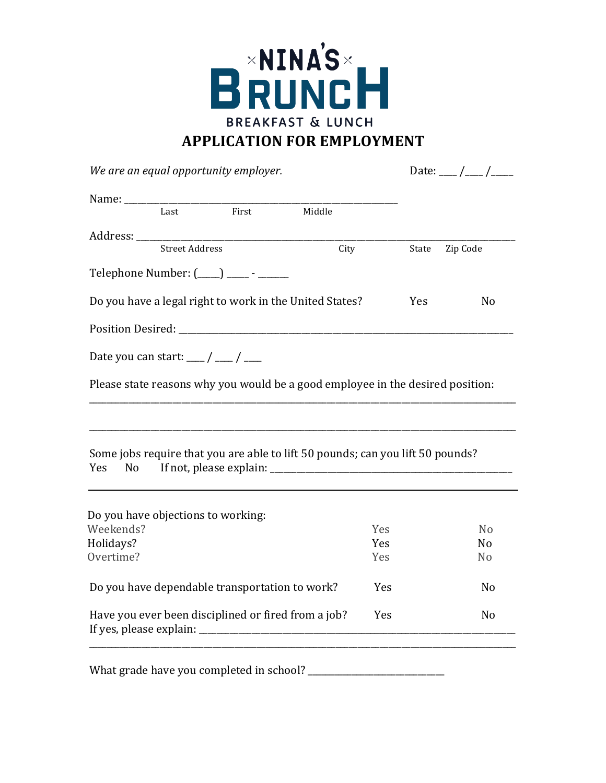

*We are an equal opportunity employer.*  $Date:$   $\qquad$  / Name: \_\_\_\_\_\_\_\_\_\_\_\_\_\_\_\_\_\_\_\_\_\_\_\_\_\_\_\_\_\_\_\_\_\_\_\_\_\_\_\_\_\_\_\_\_\_\_\_\_\_\_\_\_\_\_\_\_\_\_\_\_\_ First Middle Address: \_\_\_\_\_\_\_\_\_\_\_\_\_\_\_\_\_\_\_\_\_\_\_\_\_\_\_\_\_\_\_\_\_\_\_\_\_\_\_\_\_\_\_\_\_\_\_\_\_\_\_\_\_\_\_\_\_\_\_\_\_\_\_\_\_\_\_\_\_\_\_\_\_\_\_\_\_\_\_\_\_\_\_\_\_\_ State Zip Code Telephone Number: ( ) — — Do you have a legal right to work in the United States? Yes No Position Desired: \_\_\_\_\_\_\_\_\_\_\_\_\_\_\_\_\_\_\_\_\_\_\_\_\_\_\_\_\_\_\_\_\_\_\_\_\_\_\_\_\_\_\_\_\_\_\_\_\_\_\_\_\_\_\_\_\_\_\_\_\_\_\_\_\_\_\_\_\_\_\_\_\_\_\_\_ Date you can start:  $\frac{1}{\sqrt{2}}$ Please state reasons why you would be a good employee in the desired position: \_\_\_\_\_\_\_\_\_\_\_\_\_\_\_\_\_\_\_\_\_\_\_\_\_\_\_\_\_\_\_\_\_\_\_\_\_\_\_\_\_\_\_\_\_\_\_\_\_\_\_\_\_\_\_\_\_\_\_\_\_\_\_\_\_\_\_\_\_\_\_\_\_\_\_\_\_\_\_\_\_\_\_\_\_\_\_\_\_\_\_\_\_\_\_\_\_ \_\_\_\_\_\_\_\_\_\_\_\_\_\_\_\_\_\_\_\_\_\_\_\_\_\_\_\_\_\_\_\_\_\_\_\_\_\_\_\_\_\_\_\_\_\_\_\_\_\_\_\_\_\_\_\_\_\_\_\_\_\_\_\_\_\_\_\_\_\_\_\_\_\_\_\_\_\_\_\_\_\_\_\_\_\_\_\_\_\_\_\_\_\_\_\_\_ Some jobs require that you are able to lift 50 pounds; can you lift 50 pounds? Yes No If not, please explain: \_\_\_\_\_\_\_\_\_\_\_\_\_\_\_\_\_\_\_\_\_\_\_\_\_\_\_\_\_\_\_\_\_\_\_\_\_\_\_\_\_\_\_\_\_\_\_\_\_\_\_\_\_\_\_ Do you have dependable transportation to work? Yes No Have you ever been disciplined or fired from a job? Yes No If yes, please explain: \_\_\_\_\_\_\_\_\_\_\_\_\_\_\_\_\_\_\_\_\_\_\_\_\_\_\_\_\_\_\_\_\_\_\_\_\_\_\_\_\_\_\_\_\_\_\_\_\_\_\_\_\_\_\_\_\_\_\_\_\_\_\_\_\_\_\_\_\_\_\_\_ \_\_\_\_\_\_\_\_\_\_\_\_\_\_\_\_\_\_\_\_\_\_\_\_\_\_\_\_\_\_\_\_\_\_\_\_\_\_\_\_\_\_\_\_\_\_\_\_\_\_\_\_\_\_\_\_\_\_\_\_\_\_\_\_\_\_\_\_\_\_\_\_\_\_\_\_\_\_\_\_\_\_\_\_\_\_\_\_\_\_\_\_\_\_\_\_\_ Do you have objections to working: Weekends? No are No and No and No are No and No and No are No and No and No are No and No and No are No and No Holidays? No worker's contract to the No worker's No worker's No worker's No worker's No worker's No worker's No Overtime? No set that the set of the set of the set of the set of the set of the set of the set of the set of the set of the set of the set of the set of the set of the set of the set of the set of the set of the set of th

What grade have you completed in school?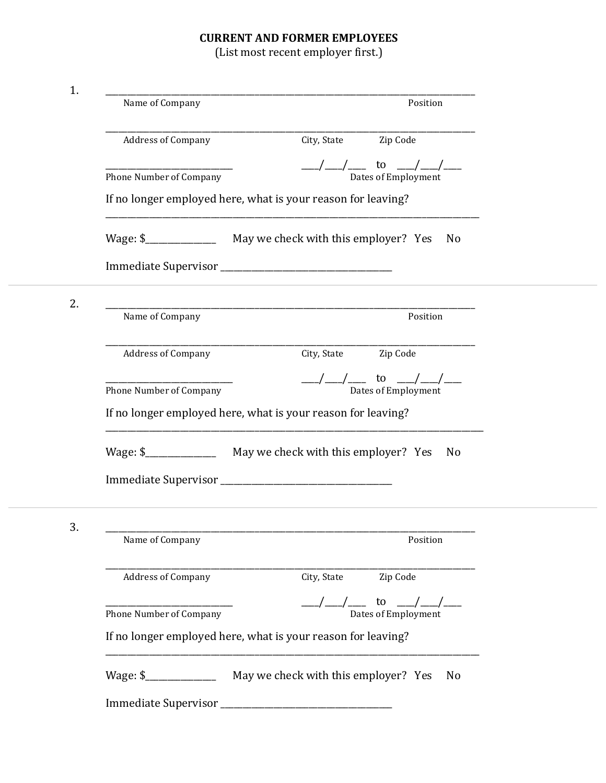## **CURRENT AND FORMER EMPLOYEES**

(List most recent employer first.)

| 1. |                                |                                                                                            |
|----|--------------------------------|--------------------------------------------------------------------------------------------|
|    | Name of Company                | Position                                                                                   |
|    | <b>Address of Company</b>      | Zip Code<br>City, State                                                                    |
|    | Phone Number of Company        | to<br>Dates of Employment                                                                  |
|    |                                | If no longer employed here, what is your reason for leaving?                               |
|    |                                | No                                                                                         |
|    |                                |                                                                                            |
| 2. | Name of Company                | Position                                                                                   |
|    | <b>Address of Company</b>      | Zip Code<br>City, State                                                                    |
|    | Phone Number of Company        | to<br>Dates of Employment                                                                  |
|    |                                | If no longer employed here, what is your reason for leaving?                               |
|    |                                | N <sub>o</sub>                                                                             |
|    |                                |                                                                                            |
| 3. |                                |                                                                                            |
|    | Name of Company                | Position                                                                                   |
|    | <b>Address of Company</b>      | City, State Zip Code                                                                       |
|    | <b>Phone Number of Company</b> | $\underbrace{\hspace{1cm}}$ to $\underbrace{\hspace{1cm}}$ /__/ ___<br>Dates of Employment |
|    |                                | If no longer employed here, what is your reason for leaving?                               |
|    |                                | No                                                                                         |
|    |                                |                                                                                            |
|    |                                |                                                                                            |